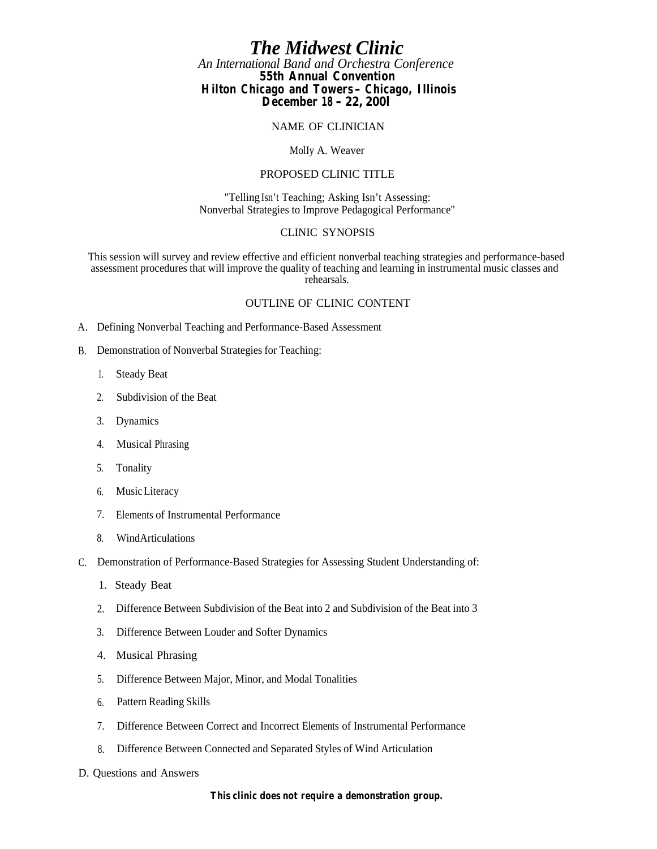# *The Midwest Clinic*

*An International Band and Orchestra Conference* **55th Annual Convention**

**Hilton Chicago and Towers - Chicago, Illinois December 18 - 22, 200l**

NAME OF CLINICIAN

MolIy A. Weaver

### PROPOSED CLINIC TITLE

"Telling Isn't Teaching; Asking Isn't Assessing: Nonverbal Strategies to Improve Pedagogical Performance"

### CLINIC SYNOPSIS

This session will survey and review effective and efficient nonverbal teaching strategies and performance-based assessment procedures that will improve the quality of teaching and learning in instrumental music classes and rehearsals.

### OUTLINE OF CLINIC CONTENT

- A. Defining Nonverbal Teaching and Performance-Based Assessment
- B. Demonstration of Nonverbal Strategies for Teaching:
	- 1. Steady Beat
	- 2. Subdivision of the Beat
	- 3. Dynamics
	- 4. Musical Phrasing
	- 5. Tonality
	- 6. Music Literacy
	- 7. Elements of Instrumental Performance
	- 8. Wind Articulations
- C. Demonstration of Performance-Based Strategies for Assessing Student Understanding of:
	- 1. Steady Beat
	- 2. Difference Between Subdivision of the Beat into 2 and Subdivision of the Beat into 3
	- 3. Difference Between Louder and Softer Dynamics
	- 4. Musical Phrasing
	- 5. Difference Between Major, Minor, and Modal Tonalities
	- 6. Pattern Reading Skills
	- 7. Difference Between Correct and Incorrect Elements of Instrumental Performance
	- 8. Difference Between Connected and Separated Styles of Wind Articulation
- D. Questions and Answers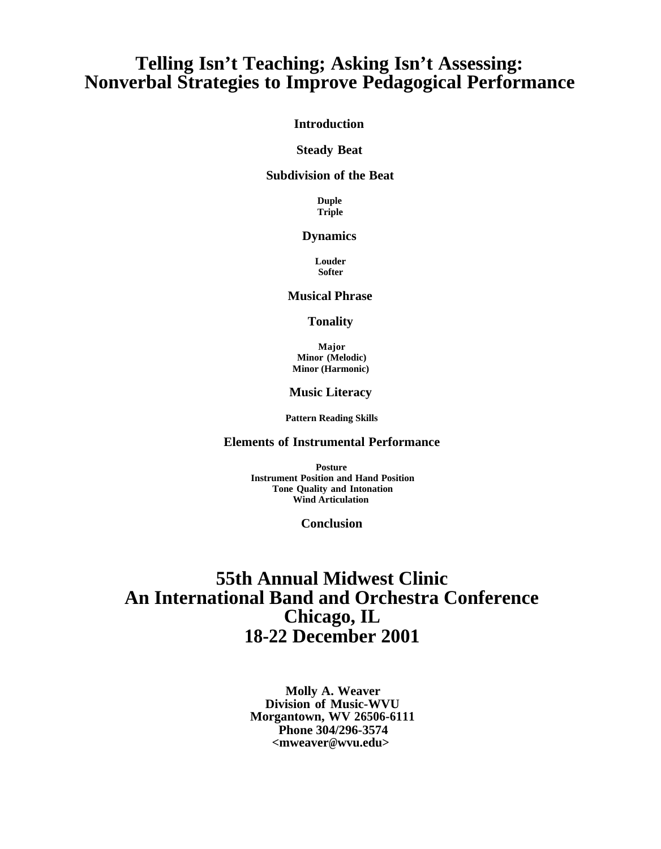# **Telling Isn't Teaching; Asking Isn't Assessing: Nonverbal Strategies to Improve Pedagogical Performance**

## **Introduction**

#### **Steady Beat**

### **Subdivision of the Beat**

**Duple Triple**

#### **Dynamics**

**Louder Softer**

## **Musical Phrase**

#### **Tonality**

**Major Minor (Melodic) Minor (Harmonic)**

#### **Music Literacy**

**Pattern Reading Skills**

### **Elements of Instrumental Performance**

**Posture Instrument Position and Hand Position Tone Quality and Intonation Wind Articulation**

**Conclusion**

# **55th Annual Midwest Clinic An International Band and Orchestra Conference Chicago, IL 18-22 December 2001**

**Molly A. Weaver Division of Music-WVU Morgantown, WV 26506-6111 Phone 304/296-3574 <mweaver@wvu.edu>wvu.edu>**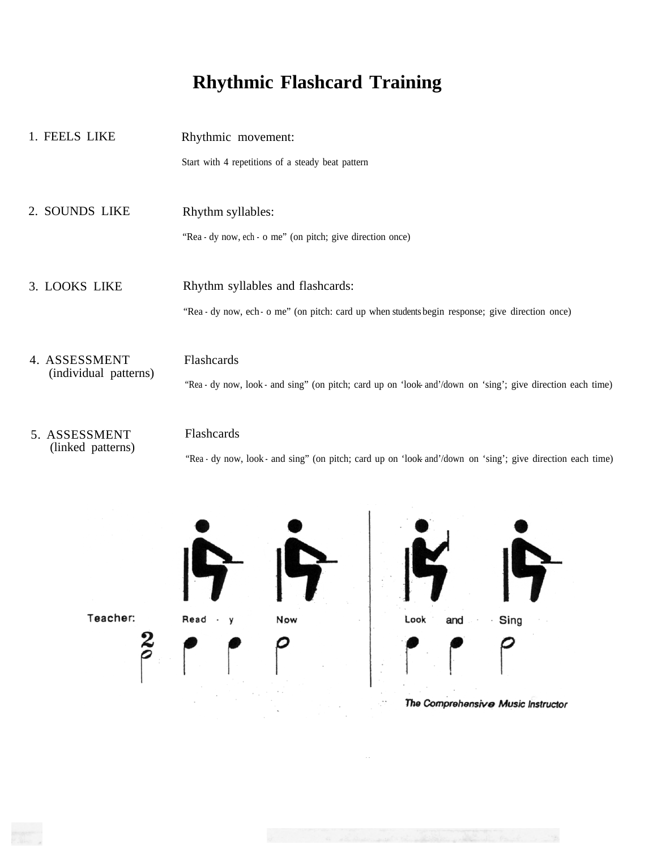# **Rhythmic Flashcard Training**

- 1. FEELS LIKE Rhythmic movement: Start with 4 repetitions of a steady beat pattern 2. SOUNDS LIKE Rhythm syllables: "Rea - dy now, ech - o me" (on pitch; give direction once) 3. LOOKS LIKE Rhythm syllables and flashcards: "Rea - dy now, ech - o me" (on pitch: card up when students begin response; give direction once) 4. ASSESSMENT (individual patterns) Flashcards "Rea - dy now, look - and sing" (on pitch; card up on 'look and'/down on 'sing'; give direction each time)
- 5. ASSESSMENT (linked patterns)

### Flashcards

"Rea - dy now, look - and sing" (on pitch; card up on 'look and'/down on 'sing'; give direction each time)



. .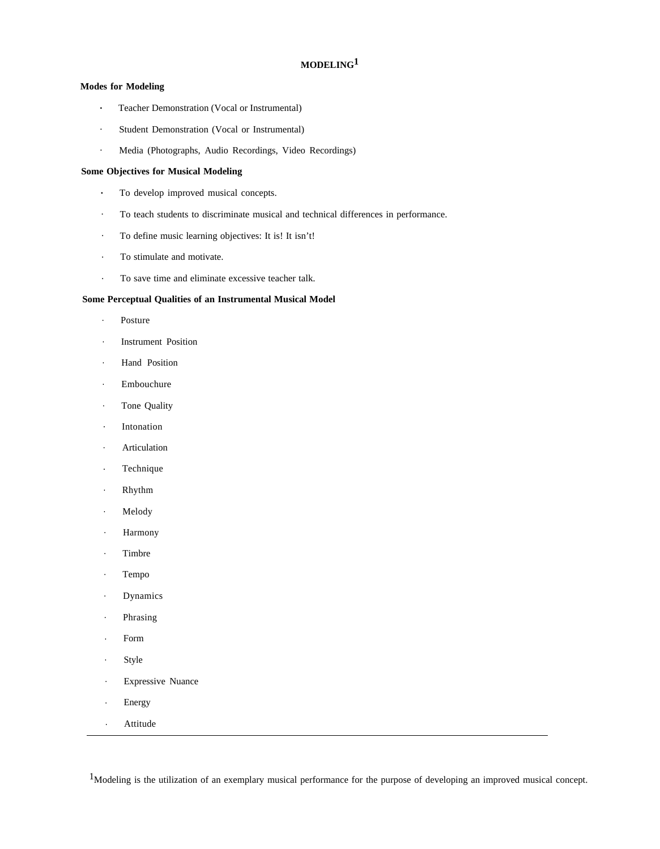### **MODELING1**

#### **Modes for Modeling**

- **.** Teacher Demonstration (Vocal or Instrumental)
- . Student Demonstration (Vocal or Instrumental)
- . Media (Photographs, Audio Recordings, Video Recordings)

#### **Some Objectives for Musical Modeling**

- **.** To develop improved musical concepts.
- . To teach students to discriminate musical and technical differences in performance.
- . To define music learning objectives: It is! It isn't!
- . To stimulate and motivate.
- . To save time and eliminate excessive teacher talk.

#### **Some Perceptual Qualities of an Instrumental Musical Model**

- . Posture
- . Instrument Position
- . Hand Position
- . Embouchure
- . Tone Quality
- . Intonation
- . Articulation
- . Technique
- . Rhythm
- . Melody
- . Harmony
- . Timbre
- . Tempo
- . Dynamics
- . Phrasing
- . Form
- . Style
- . Expressive Nuance
- . Energy
- . Attitude

<sup>1</sup>Modeling is the utilization of an exemplary musical performance for the purpose of developing an improved musical concept.